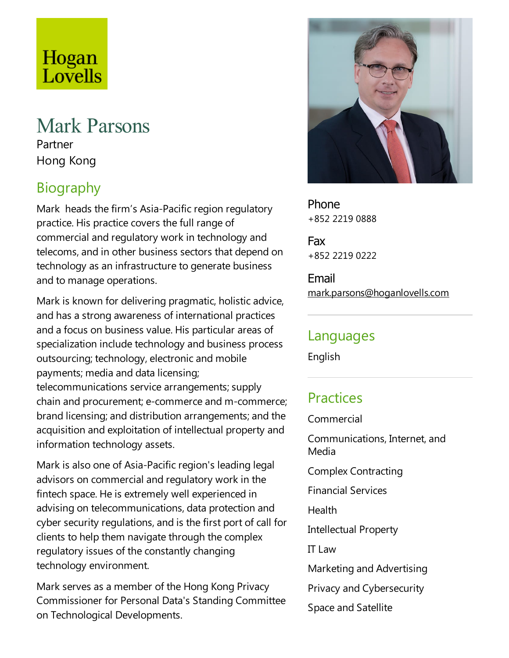# Hogan Lovells

#### Mark Parsons Partner Hong Kong

## Biography

Mark heads the firm's Asia-Pacific region regulatory practice. His practice covers the full range of commercial and regulatory work in technology and telecoms,and in other business sectors that depend on technology as an infrastructure to generate business and to manage operations.

Mark is known for delivering pragmatic, holistic advice, and has astrong awareness of international practices and afocus on business value. His particular areas of specialization include technology and business process outsourcing; technology, electronic and mobile payments; media and data licensing; telecommunications service arrangements; supply chain and procurement; e-commerce and m-commerce; brand licensing; and distribution arrangements; and the acquisition and exploitation of intellectual property and information technology assets.

Mark is also one of Asia-Pacific region's leading legal advisors on commercial and regulatory work in the fintech space. He is extremely well experienced in advising on telecommunications, data protection and cyber security regulations, and is the first port of call for clients to help them navigate through the complex regulatory issues of the constantly changing technology environment.

Mark serves as a member of the Hong Kong Privacy Commissioner for Personal Data's Standing Committee on Technological Developments.



Phone +852 2219 0888

Fax +852 2219 0222

Email mark.parsons@hoganlovells.com

#### Languages

English

## **Practices**

Commercial

Communications, Internet, and Media

Complex Contracting

Financial Services

Health

Intellectual Property

**IT Law** 

Marketing and Advertising

Privacy and Cybersecurity

Space and Satellite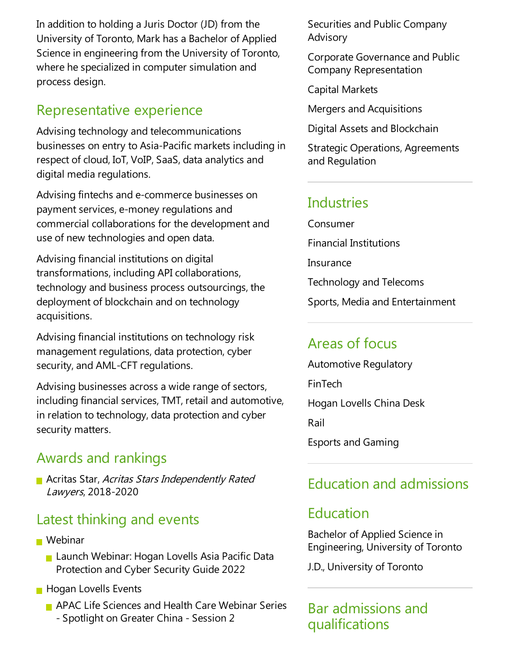In addition to holding a Juris Doctor (JD) from the University of Toronto, Mark has a Bachelor of Applied Science in engineering from the University of Toronto, where he specialized in computer simulation and process design.

#### Representative experience

Advising technology and telecommunications businesses on entry to Asia-Pacific markets including in respect of cloud, IoT, VoIP, SaaS, data analytics and digital media regulations.

Advising fintechs and e-commerce businesses on payment services, e-money regulations and commercial collaborations for the development and use of new technologies and open data.

Advising financial institutions on digital transformations, including API collaborations, technology and business process outsourcings, the deployment of blockchain and on technology acquisitions.

Advising financial institutions on technology risk management regulations, data protection, cyber security, and AML-CFT regulations.

Advising businesses across a wide range of sectors, including financial services,TMT, retail and automotive, in relation to technology, data protection and cyber security matters.

#### Awards and rankings

**Acritas Star, Acritas Stars Independently Rated** Lawyers, 2018-2020

#### Latest thinking and events

- Webinar
	- Launch Webinar: Hogan Lovells Asia Pacific Data Protection and Cyber Security Guide 2022
- **Hogan Lovells Events** 
	- **APAC Life Sciences and Health Care Webinar Series** - Spotlight on Greater China- Session 2

Securities and Public Company Advisory

Corporate Governanceand Public Company Representation

Capital Markets

Mergers and Acquisitions

Digital Assets and Blockchain

Strategic Operations, Agreements and Regulation

#### Industries

Consumer Financial Institutions **Insurance** Technology and Telecoms Sports, Media and Entertainment

### Areas of focus

Automotive Regulatory FinTech Hogan Lovells China Desk Rail Esports and Gaming

### Education and admissions

#### Education

Bachelor of Applied Science in Engineering, University of Toronto

J.D., University of Toronto

Bar admissions and qualifications